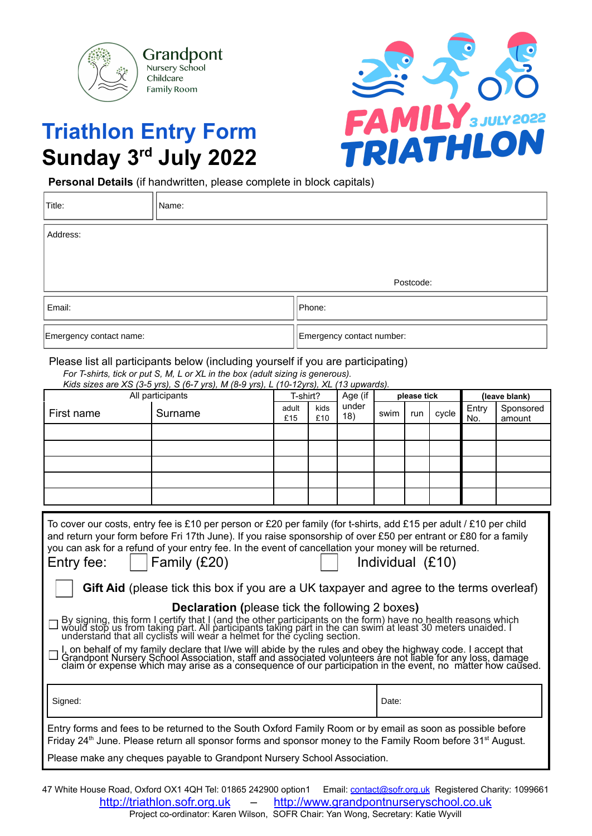

**Triathlon Entry Form**

## **FAMILY** SJULY2022

**Sunday 3 rd July 2022 Personal Details** (if handwritten, please complete in block capitals)

| Title:                  | Name: |                           |  |  |  |  |
|-------------------------|-------|---------------------------|--|--|--|--|
| Address:                |       |                           |  |  |  |  |
|                         |       | Postcode:                 |  |  |  |  |
| Email:                  |       | Phone:                    |  |  |  |  |
| Emergency contact name: |       | Emergency contact number: |  |  |  |  |

## Please list all participants below (including yourself if you are participating)

| All participants                                                                                                   |         | T-shirt?     |             | Age (if      | please tick |     |       | (leave blank) |                     |
|--------------------------------------------------------------------------------------------------------------------|---------|--------------|-------------|--------------|-------------|-----|-------|---------------|---------------------|
| First name                                                                                                         | Surname | adult<br>£15 | kids<br>£10 | under<br>18) | swim        | run | cycle | Entry<br>No.  | Sponsored<br>amount |
|                                                                                                                    |         |              |             |              |             |     |       |               |                     |
|                                                                                                                    |         |              |             |              |             |     |       |               |                     |
|                                                                                                                    |         |              |             |              |             |     |       |               |                     |
|                                                                                                                    |         |              |             |              |             |     |       |               |                     |
|                                                                                                                    |         |              |             |              |             |     |       |               |                     |
|                                                                                                                    |         |              |             |              |             |     |       |               |                     |
| To cover our costs, entry fee is £10 per person or £20 per family (for t-shirts, add £15 per adult / £10 per child |         |              |             |              |             |     |       |               |                     |

| Emergency contact name:                                                                                                                                                                                                                                                                                                                                                                                                                                                                                                                                                                                                                                                                                                                                                                                                                                                                                                                                                                                                           |                                                                          |              | Emergency contact number: |              |                                      |  |                     |               |  |  |
|-----------------------------------------------------------------------------------------------------------------------------------------------------------------------------------------------------------------------------------------------------------------------------------------------------------------------------------------------------------------------------------------------------------------------------------------------------------------------------------------------------------------------------------------------------------------------------------------------------------------------------------------------------------------------------------------------------------------------------------------------------------------------------------------------------------------------------------------------------------------------------------------------------------------------------------------------------------------------------------------------------------------------------------|--------------------------------------------------------------------------|--------------|---------------------------|--------------|--------------------------------------|--|---------------------|---------------|--|--|
| Please list all participants below (including yourself if you are participating)<br>For T-shirts, tick or put S, M, L or XL in the box (adult sizing is generous).<br>Kids sizes are XS (3-5 yrs), S (6-7 yrs), M (8-9 yrs), L (10-12yrs), XL (13 upwards).                                                                                                                                                                                                                                                                                                                                                                                                                                                                                                                                                                                                                                                                                                                                                                       |                                                                          |              |                           |              |                                      |  |                     |               |  |  |
|                                                                                                                                                                                                                                                                                                                                                                                                                                                                                                                                                                                                                                                                                                                                                                                                                                                                                                                                                                                                                                   | All participants                                                         |              | T-shirt?                  | Age (if      | please tick                          |  |                     | (leave blank) |  |  |
| First name                                                                                                                                                                                                                                                                                                                                                                                                                                                                                                                                                                                                                                                                                                                                                                                                                                                                                                                                                                                                                        | Surname                                                                  | adult<br>£15 | kids<br>£10               | under<br>18) | Entry<br>cycle<br>swim<br>run<br>No. |  | Sponsored<br>amount |               |  |  |
|                                                                                                                                                                                                                                                                                                                                                                                                                                                                                                                                                                                                                                                                                                                                                                                                                                                                                                                                                                                                                                   |                                                                          |              |                           |              |                                      |  |                     |               |  |  |
|                                                                                                                                                                                                                                                                                                                                                                                                                                                                                                                                                                                                                                                                                                                                                                                                                                                                                                                                                                                                                                   |                                                                          |              |                           |              |                                      |  |                     |               |  |  |
|                                                                                                                                                                                                                                                                                                                                                                                                                                                                                                                                                                                                                                                                                                                                                                                                                                                                                                                                                                                                                                   |                                                                          |              |                           |              |                                      |  |                     |               |  |  |
|                                                                                                                                                                                                                                                                                                                                                                                                                                                                                                                                                                                                                                                                                                                                                                                                                                                                                                                                                                                                                                   |                                                                          |              |                           |              |                                      |  |                     |               |  |  |
| To cover our costs, entry fee is £10 per person or £20 per family (for t-shirts, add £15 per adult / £10 per child<br>and return your form before Fri 17th June). If you raise sponsorship of over £50 per entrant or £80 for a family<br>you can ask for a refund of your entry fee. In the event of cancellation your money will be returned.<br>Family (£20)<br>Individual (£10)<br>Entry fee:<br>Gift Aid (please tick this box if you are a UK taxpayer and agree to the terms overleaf)<br><b>Declaration (please tick the following 2 boxes)</b><br>By signing, this form I certify that I (and the other participants on the form) have no health reasons which would stop us from taking part. All participants taking part in the can swim at least 30 meters unaided. I unders<br>I, on behalf of my family declare that I/we will abide by the rules and obey the highway code. I accept that<br>Grandpont Nursery School Association, staff and associated volunteers are not liable for any loss, damage<br>claim o |                                                                          |              |                           |              |                                      |  |                     |               |  |  |
| Signed:                                                                                                                                                                                                                                                                                                                                                                                                                                                                                                                                                                                                                                                                                                                                                                                                                                                                                                                                                                                                                           |                                                                          |              |                           |              | Date:                                |  |                     |               |  |  |
| Entry forms and fees to be returned to the South Oxford Family Room or by email as soon as possible before<br>Friday 24 <sup>th</sup> June. Please return all sponsor forms and sponsor money to the Family Room before 31 <sup>st</sup> August.                                                                                                                                                                                                                                                                                                                                                                                                                                                                                                                                                                                                                                                                                                                                                                                  |                                                                          |              |                           |              |                                      |  |                     |               |  |  |
|                                                                                                                                                                                                                                                                                                                                                                                                                                                                                                                                                                                                                                                                                                                                                                                                                                                                                                                                                                                                                                   | Please make any cheques payable to Grandpont Nursery School Association. |              |                           |              |                                      |  |                     |               |  |  |

47 White House Road, Oxford OX1 4QH Tel: 01865 242900 option1 Email: [contact@sofr.org.uk](mailto:contact@sofr.org.uk) Registered Charity: 1099661 <http://triathlon.sofr.org.uk> – <http://www.grandpontnurseryschool.co.uk> Project co-ordinator: Karen Wilson, SOFR Chair: Yan Wong, Secretary: Katie Wyvill